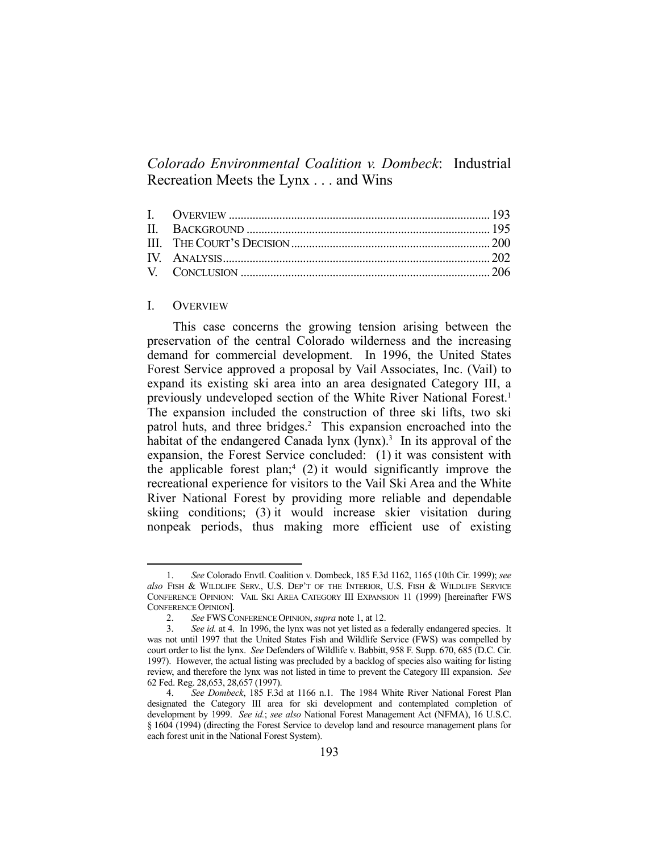*Colorado Environmental Coalition v. Dombeck*: Industrial Recreation Meets the Lynx . . . and Wins

#### I. OVERVIEW

1

 This case concerns the growing tension arising between the preservation of the central Colorado wilderness and the increasing demand for commercial development. In 1996, the United States Forest Service approved a proposal by Vail Associates, Inc. (Vail) to expand its existing ski area into an area designated Category III, a previously undeveloped section of the White River National Forest.<sup>1</sup> The expansion included the construction of three ski lifts, two ski patrol huts, and three bridges.<sup>2</sup> This expansion encroached into the habitat of the endangered Canada lynx  $(lynx)$ .<sup>3</sup> In its approval of the expansion, the Forest Service concluded: (1) it was consistent with the applicable forest plan;<sup>4</sup> (2) it would significantly improve the recreational experience for visitors to the Vail Ski Area and the White River National Forest by providing more reliable and dependable skiing conditions; (3) it would increase skier visitation during nonpeak periods, thus making more efficient use of existing

 <sup>1.</sup> *See* Colorado Envtl. Coalition v. Dombeck, 185 F.3d 1162, 1165 (10th Cir. 1999); *see also* FISH & WILDLIFE SERV., U.S. DEP'T OF THE INTERIOR, U.S. FISH & WILDLIFE SERVICE CONFERENCE OPINION: VAIL SKI AREA CATEGORY III EXPANSION 11 (1999) [hereinafter FWS CONFERENCE OPINION].

 <sup>2.</sup> *See* FWSCONFERENCE OPINION, *supra* note 1, at 12.

See *id.* at 4. In 1996, the lynx was not yet listed as a federally endangered species. It was not until 1997 that the United States Fish and Wildlife Service (FWS) was compelled by court order to list the lynx. *See* Defenders of Wildlife v. Babbitt, 958 F. Supp. 670, 685 (D.C. Cir. 1997). However, the actual listing was precluded by a backlog of species also waiting for listing review, and therefore the lynx was not listed in time to prevent the Category III expansion. *See* 62 Fed. Reg. 28,653, 28,657 (1997).

 <sup>4.</sup> *See Dombeck*, 185 F.3d at 1166 n.1. The 1984 White River National Forest Plan designated the Category III area for ski development and contemplated completion of development by 1999. *See id.*; *see also* National Forest Management Act (NFMA), 16 U.S.C. § 1604 (1994) (directing the Forest Service to develop land and resource management plans for each forest unit in the National Forest System).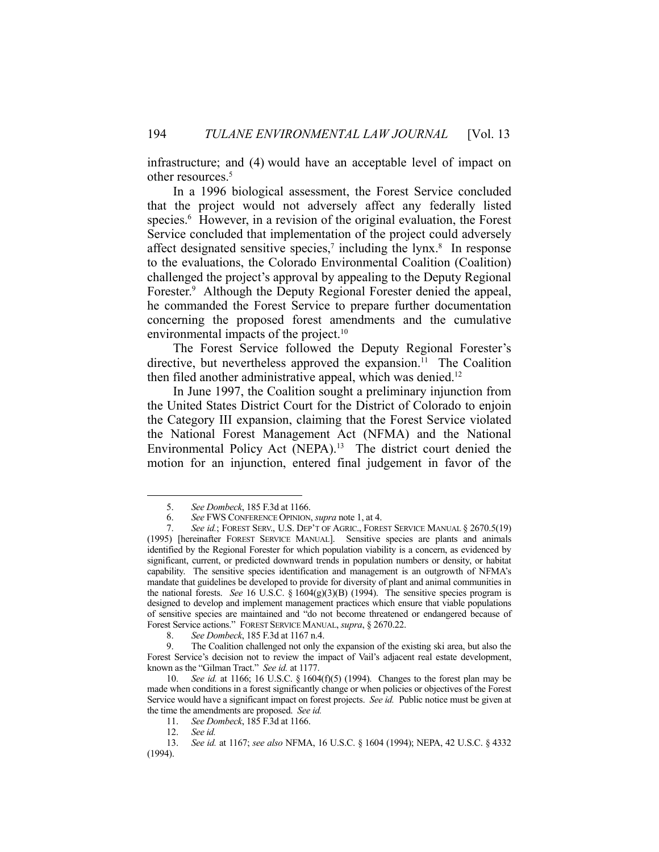infrastructure; and (4) would have an acceptable level of impact on other resources.<sup>5</sup>

 In a 1996 biological assessment, the Forest Service concluded that the project would not adversely affect any federally listed species.<sup>6</sup> However, in a revision of the original evaluation, the Forest Service concluded that implementation of the project could adversely affect designated sensitive species,<sup>7</sup> including the  $lynx$ .<sup>8</sup> In response to the evaluations, the Colorado Environmental Coalition (Coalition) challenged the project's approval by appealing to the Deputy Regional Forester.<sup>9</sup> Although the Deputy Regional Forester denied the appeal, he commanded the Forest Service to prepare further documentation concerning the proposed forest amendments and the cumulative environmental impacts of the project.<sup>10</sup>

 The Forest Service followed the Deputy Regional Forester's directive, but nevertheless approved the expansion.<sup>11</sup> The Coalition then filed another administrative appeal, which was denied.<sup>12</sup>

 In June 1997, the Coalition sought a preliminary injunction from the United States District Court for the District of Colorado to enjoin the Category III expansion, claiming that the Forest Service violated the National Forest Management Act (NFMA) and the National Environmental Policy Act (NEPA).<sup>13</sup> The district court denied the motion for an injunction, entered final judgement in favor of the

 <sup>5.</sup> *See Dombeck*, 185 F.3d at 1166.

 <sup>6.</sup> *See* FWS CONFERENCE OPINION, *supra* note 1, at 4.

 <sup>7.</sup> *See id.*; FOREST SERV., U.S. DEP'T OF AGRIC., FOREST SERVICE MANUAL § 2670.5(19) (1995) [hereinafter FOREST SERVICE MANUAL]. Sensitive species are plants and animals identified by the Regional Forester for which population viability is a concern, as evidenced by significant, current, or predicted downward trends in population numbers or density, or habitat capability. The sensitive species identification and management is an outgrowth of NFMA's mandate that guidelines be developed to provide for diversity of plant and animal communities in the national forests. *See* 16 U.S.C.  $\S$  1604(g)(3)(B) (1994). The sensitive species program is designed to develop and implement management practices which ensure that viable populations of sensitive species are maintained and "do not become threatened or endangered because of Forest Service actions." FOREST SERVICE MANUAL, *supra*, § 2670.22.

 <sup>8.</sup> *See Dombeck*, 185 F.3d at 1167 n.4.

The Coalition challenged not only the expansion of the existing ski area, but also the Forest Service's decision not to review the impact of Vail's adjacent real estate development, known as the "Gilman Tract." *See id.* at 1177.

 <sup>10.</sup> *See id.* at 1166; 16 U.S.C. § 1604(f)(5) (1994). Changes to the forest plan may be made when conditions in a forest significantly change or when policies or objectives of the Forest Service would have a significant impact on forest projects. *See id.* Public notice must be given at the time the amendments are proposed. *See id.*

 <sup>11.</sup> *See Dombeck*, 185 F.3d at 1166.

 <sup>12.</sup> *See id.*

 <sup>13.</sup> *See id.* at 1167; *see also* NFMA, 16 U.S.C. § 1604 (1994); NEPA, 42 U.S.C. § 4332 (1994).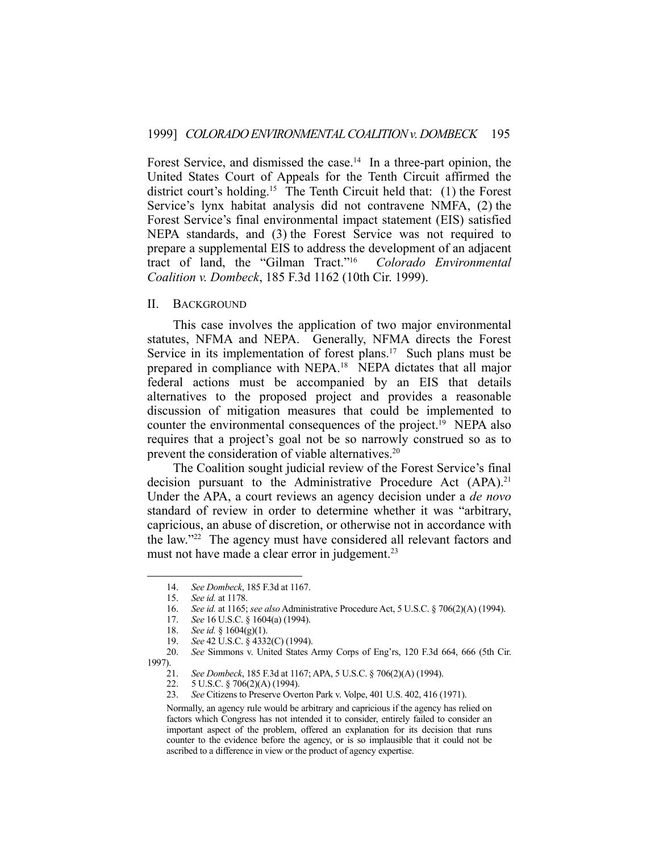Forest Service, and dismissed the case.<sup>14</sup> In a three-part opinion, the United States Court of Appeals for the Tenth Circuit affirmed the district court's holding.15 The Tenth Circuit held that: (1) the Forest Service's lynx habitat analysis did not contravene NMFA, (2) the Forest Service's final environmental impact statement (EIS) satisfied NEPA standards, and (3) the Forest Service was not required to prepare a supplemental EIS to address the development of an adjacent tract of land, the "Gilman Tract."16 *Colorado Environmental Coalition v. Dombeck*, 185 F.3d 1162 (10th Cir. 1999).

### II. BACKGROUND

 This case involves the application of two major environmental statutes, NFMA and NEPA. Generally, NFMA directs the Forest Service in its implementation of forest plans.<sup>17</sup> Such plans must be prepared in compliance with NEPA.18 NEPA dictates that all major federal actions must be accompanied by an EIS that details alternatives to the proposed project and provides a reasonable discussion of mitigation measures that could be implemented to counter the environmental consequences of the project.<sup>19</sup> NEPA also requires that a project's goal not be so narrowly construed so as to prevent the consideration of viable alternatives.<sup>20</sup>

 The Coalition sought judicial review of the Forest Service's final decision pursuant to the Administrative Procedure Act (APA).<sup>21</sup> Under the APA, a court reviews an agency decision under a *de novo* standard of review in order to determine whether it was "arbitrary, capricious, an abuse of discretion, or otherwise not in accordance with the law."22 The agency must have considered all relevant factors and must not have made a clear error in judgement.<sup>23</sup>

 <sup>14.</sup> *See Dombeck*, 185 F.3d at 1167.

 <sup>15.</sup> *See id.* at 1178.

 <sup>16.</sup> *See id.* at 1165; *see also* Administrative Procedure Act, 5 U.S.C. § 706(2)(A) (1994).

 <sup>17.</sup> *See* 16 U.S.C. § 1604(a) (1994).

 <sup>18.</sup> *See id.* § 1604(g)(1).

 <sup>19.</sup> *See* 42 U.S.C. § 4332(C) (1994).

 <sup>20.</sup> *See* Simmons v. United States Army Corps of Eng'rs, 120 F.3d 664, 666 (5th Cir. 1997).

 <sup>21.</sup> *See Dombeck*, 185 F.3d at 1167; APA, 5 U.S.C. § 706(2)(A) (1994).

 <sup>22. 5</sup> U.S.C. § 706(2)(A) (1994).

 <sup>23.</sup> *See* Citizens to Preserve Overton Park v. Volpe, 401 U.S. 402, 416 (1971).

Normally, an agency rule would be arbitrary and capricious if the agency has relied on factors which Congress has not intended it to consider, entirely failed to consider an important aspect of the problem, offered an explanation for its decision that runs counter to the evidence before the agency, or is so implausible that it could not be ascribed to a difference in view or the product of agency expertise.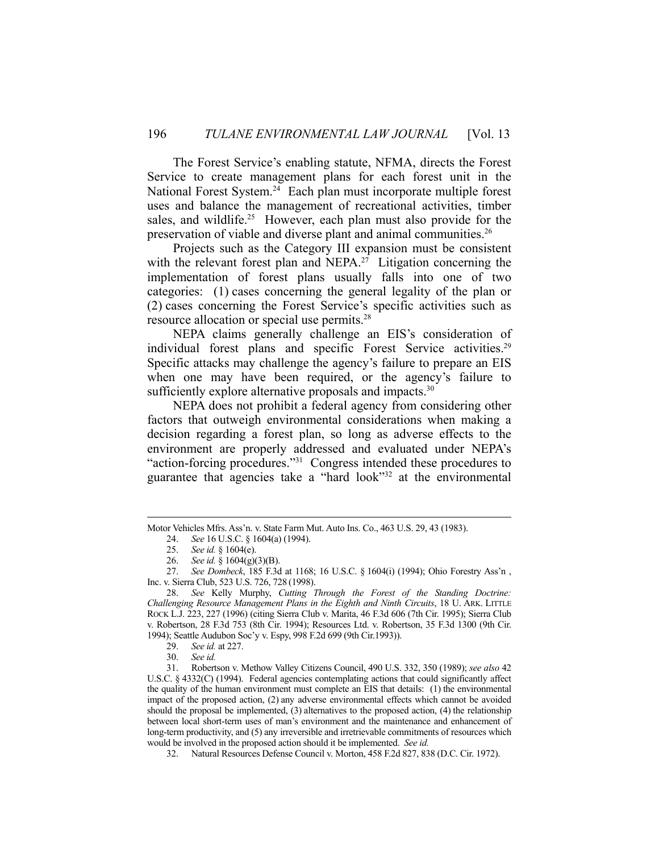The Forest Service's enabling statute, NFMA, directs the Forest Service to create management plans for each forest unit in the National Forest System.<sup>24</sup> Each plan must incorporate multiple forest uses and balance the management of recreational activities, timber sales, and wildlife.<sup>25</sup> However, each plan must also provide for the preservation of viable and diverse plant and animal communities.<sup>26</sup>

 Projects such as the Category III expansion must be consistent with the relevant forest plan and NEPA.<sup>27</sup> Litigation concerning the implementation of forest plans usually falls into one of two categories: (1) cases concerning the general legality of the plan or (2) cases concerning the Forest Service's specific activities such as resource allocation or special use permits.28

 NEPA claims generally challenge an EIS's consideration of individual forest plans and specific Forest Service activities.29 Specific attacks may challenge the agency's failure to prepare an EIS when one may have been required, or the agency's failure to sufficiently explore alternative proposals and impacts.<sup>30</sup>

 NEPA does not prohibit a federal agency from considering other factors that outweigh environmental considerations when making a decision regarding a forest plan, so long as adverse effects to the environment are properly addressed and evaluated under NEPA's "action-forcing procedures."31 Congress intended these procedures to guarantee that agencies take a "hard look"32 at the environmental

Motor Vehicles Mfrs. Ass'n. v. State Farm Mut. Auto Ins. Co., 463 U.S. 29, 43 (1983).

 <sup>24.</sup> *See* 16 U.S.C. § 1604(a) (1994).

 <sup>25.</sup> *See id.* § 1604(e).

 <sup>26.</sup> *See id.* § 1604(g)(3)(B).

 <sup>27.</sup> *See Dombeck*, 185 F.3d at 1168; 16 U.S.C. § 1604(i) (1994); Ohio Forestry Ass'n , Inc. v. Sierra Club, 523 U.S. 726, 728 (1998).

 <sup>28.</sup> *See* Kelly Murphy, *Cutting Through the Forest of the Standing Doctrine: Challenging Resource Management Plans in the Eighth and Ninth Circuits*, 18 U. ARK. LITTLE ROCK L.J. 223, 227 (1996) (citing Sierra Club v. Marita, 46 F.3d 606 (7th Cir. 1995); Sierra Club v. Robertson, 28 F.3d 753 (8th Cir. 1994); Resources Ltd. v. Robertson, 35 F.3d 1300 (9th Cir. 1994); Seattle Audubon Soc'y v. Espy, 998 F.2d 699 (9th Cir.1993)).

 <sup>29.</sup> *See id.* at 227.

 <sup>30.</sup> *See id.*

 <sup>31.</sup> Robertson v. Methow Valley Citizens Council, 490 U.S. 332, 350 (1989); *see also* 42 U.S.C. § 4332(C) (1994). Federal agencies contemplating actions that could significantly affect the quality of the human environment must complete an EIS that details: (1) the environmental impact of the proposed action, (2) any adverse environmental effects which cannot be avoided should the proposal be implemented, (3) alternatives to the proposed action, (4) the relationship between local short-term uses of man's environment and the maintenance and enhancement of long-term productivity, and (5) any irreversible and irretrievable commitments of resources which would be involved in the proposed action should it be implemented. *See id.*

 <sup>32.</sup> Natural Resources Defense Council v. Morton, 458 F.2d 827, 838 (D.C. Cir. 1972).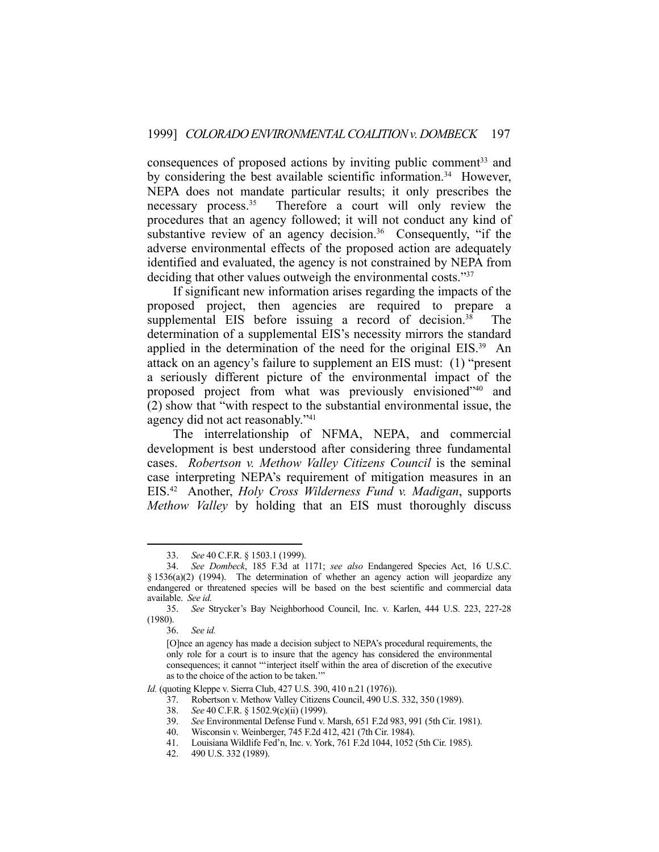consequences of proposed actions by inviting public comment<sup>33</sup> and by considering the best available scientific information.<sup>34</sup> However, NEPA does not mandate particular results; it only prescribes the necessary process.<sup>35</sup> Therefore a court will only review the procedures that an agency followed; it will not conduct any kind of substantive review of an agency decision.<sup>36</sup> Consequently, "if the adverse environmental effects of the proposed action are adequately identified and evaluated, the agency is not constrained by NEPA from deciding that other values outweigh the environmental costs."<sup>37</sup>

 If significant new information arises regarding the impacts of the proposed project, then agencies are required to prepare a supplemental EIS before issuing a record of decision.<sup>38</sup> The determination of a supplemental EIS's necessity mirrors the standard applied in the determination of the need for the original EIS.<sup>39</sup> An attack on an agency's failure to supplement an EIS must: (1) "present a seriously different picture of the environmental impact of the proposed project from what was previously envisioned"40 and (2) show that "with respect to the substantial environmental issue, the agency did not act reasonably."41

 The interrelationship of NFMA, NEPA, and commercial development is best understood after considering three fundamental cases. *Robertson v. Methow Valley Citizens Council* is the seminal case interpreting NEPA's requirement of mitigation measures in an EIS.42 Another, *Holy Cross Wilderness Fund v. Madigan*, supports *Methow Valley* by holding that an EIS must thoroughly discuss

1

*Id.* (quoting Kleppe v. Sierra Club, 427 U.S. 390, 410 n.21 (1976)).

42. 490 U.S. 332 (1989).

 <sup>33.</sup> *See* 40 C.F.R. § 1503.1 (1999).

 <sup>34.</sup> *See Dombeck*, 185 F.3d at 1171; *see also* Endangered Species Act, 16 U.S.C. § 1536(a)(2) (1994). The determination of whether an agency action will jeopardize any endangered or threatened species will be based on the best scientific and commercial data available. *See id.*

 <sup>35.</sup> *See* Strycker's Bay Neighborhood Council, Inc. v. Karlen, 444 U.S. 223, 227-28 (1980).

 <sup>36.</sup> *See id.*

<sup>[</sup>O]nce an agency has made a decision subject to NEPA's procedural requirements, the only role for a court is to insure that the agency has considered the environmental consequences; it cannot "'interject itself within the area of discretion of the executive as to the choice of the action to be taken.'"

 <sup>37.</sup> Robertson v. Methow Valley Citizens Council, 490 U.S. 332, 350 (1989).

 <sup>38.</sup> *See* 40 C.F.R. § 1502.9(c)(ii) (1999).

 <sup>39.</sup> *See* Environmental Defense Fund v. Marsh, 651 F.2d 983, 991 (5th Cir. 1981).

<sup>39.</sup> See Environmental Defense Fund v. Marsh, 651 F.2d 983, 93<br>40. Wisconsin v. Weinberger, 745 F.2d 412, 421 (7th Cir. 1984).

 <sup>41.</sup> Louisiana Wildlife Fed'n, Inc. v. York, 761 F.2d 1044, 1052 (5th Cir. 1985).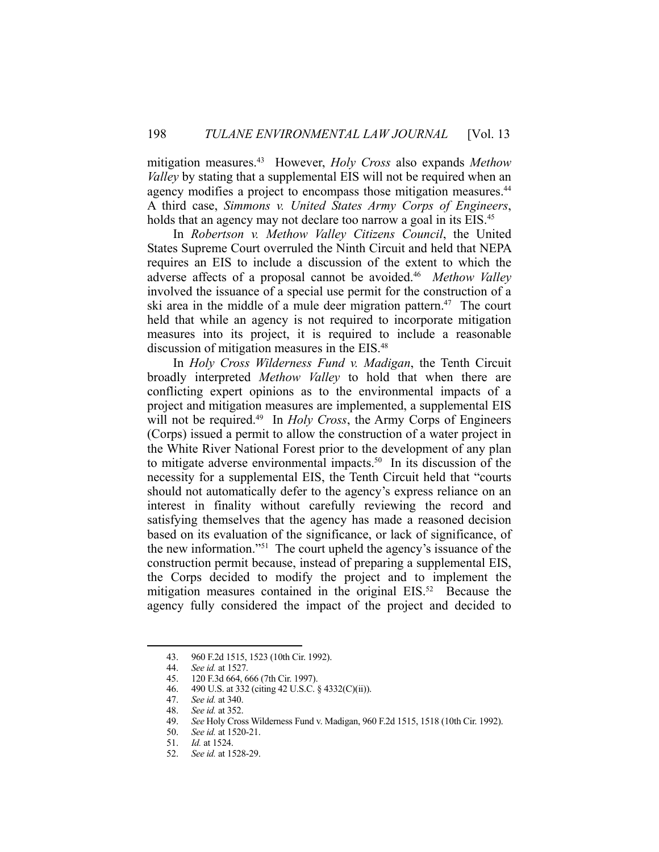mitigation measures.43 However, *Holy Cross* also expands *Methow Valley* by stating that a supplemental EIS will not be required when an agency modifies a project to encompass those mitigation measures.<sup>44</sup> A third case, *Simmons v. United States Army Corps of Engineers*, holds that an agency may not declare too narrow a goal in its EIS.<sup>45</sup>

 In *Robertson v. Methow Valley Citizens Council*, the United States Supreme Court overruled the Ninth Circuit and held that NEPA requires an EIS to include a discussion of the extent to which the adverse affects of a proposal cannot be avoided.46 *Methow Valley* involved the issuance of a special use permit for the construction of a ski area in the middle of a mule deer migration pattern.<sup>47</sup> The court held that while an agency is not required to incorporate mitigation measures into its project, it is required to include a reasonable discussion of mitigation measures in the EIS.<sup>48</sup>

 In *Holy Cross Wilderness Fund v. Madigan*, the Tenth Circuit broadly interpreted *Methow Valley* to hold that when there are conflicting expert opinions as to the environmental impacts of a project and mitigation measures are implemented, a supplemental EIS will not be required.<sup>49</sup> In *Holy Cross*, the Army Corps of Engineers (Corps) issued a permit to allow the construction of a water project in the White River National Forest prior to the development of any plan to mitigate adverse environmental impacts.<sup>50</sup> In its discussion of the necessity for a supplemental EIS, the Tenth Circuit held that "courts should not automatically defer to the agency's express reliance on an interest in finality without carefully reviewing the record and satisfying themselves that the agency has made a reasoned decision based on its evaluation of the significance, or lack of significance, of the new information."51 The court upheld the agency's issuance of the construction permit because, instead of preparing a supplemental EIS, the Corps decided to modify the project and to implement the mitigation measures contained in the original EIS.<sup>52</sup> Because the agency fully considered the impact of the project and decided to

 <sup>43. 960</sup> F.2d 1515, 1523 (10th Cir. 1992).

 <sup>44.</sup> *See id.* at 1527.

 <sup>45. 120</sup> F.3d 664, 666 (7th Cir. 1997).

 <sup>46. 490</sup> U.S. at 332 (citing 42 U.S.C. § 4332(C)(ii)).

 <sup>47.</sup> *See id.* at 340. 48. *See id.* at 352.

 <sup>49.</sup> *See* Holy Cross Wilderness Fund v. Madigan, 960 F.2d 1515, 1518 (10th Cir. 1992).

 <sup>50.</sup> *See id.* at 1520-21.

 <sup>51.</sup> *Id.* at 1524.

 <sup>52.</sup> *See id.* at 1528-29.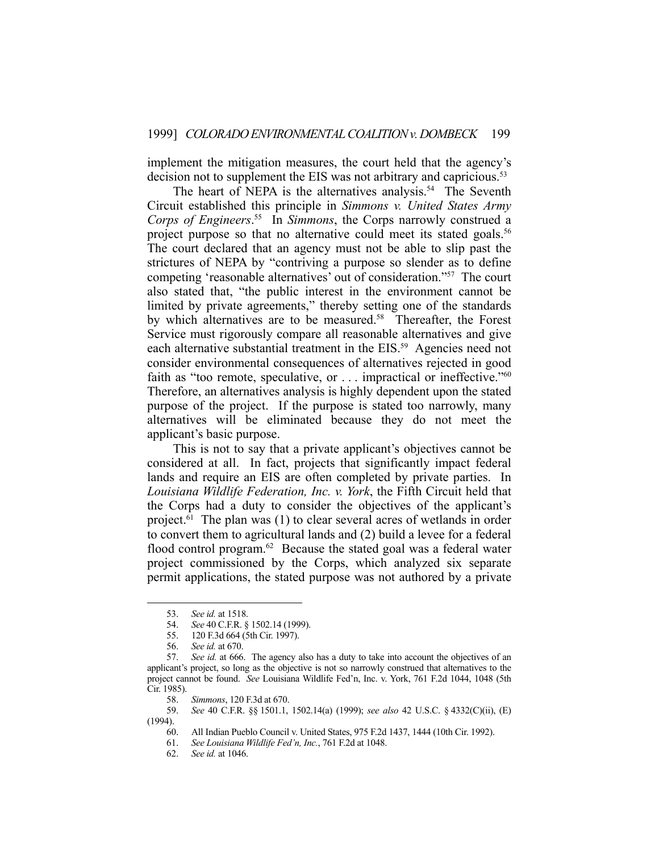implement the mitigation measures, the court held that the agency's decision not to supplement the EIS was not arbitrary and capricious.<sup>53</sup>

The heart of NEPA is the alternatives analysis.<sup>54</sup> The Seventh Circuit established this principle in *Simmons v. United States Army Corps of Engineers*. 55 In *Simmons*, the Corps narrowly construed a project purpose so that no alternative could meet its stated goals.<sup>56</sup> The court declared that an agency must not be able to slip past the strictures of NEPA by "contriving a purpose so slender as to define competing 'reasonable alternatives' out of consideration."57 The court also stated that, "the public interest in the environment cannot be limited by private agreements," thereby setting one of the standards by which alternatives are to be measured.<sup>58</sup> Thereafter, the Forest Service must rigorously compare all reasonable alternatives and give each alternative substantial treatment in the EIS.<sup>59</sup> Agencies need not consider environmental consequences of alternatives rejected in good faith as "too remote, speculative, or . . . impractical or ineffective."<sup>60</sup> Therefore, an alternatives analysis is highly dependent upon the stated purpose of the project. If the purpose is stated too narrowly, many alternatives will be eliminated because they do not meet the applicant's basic purpose.

 This is not to say that a private applicant's objectives cannot be considered at all. In fact, projects that significantly impact federal lands and require an EIS are often completed by private parties. In *Louisiana Wildlife Federation, Inc. v. York*, the Fifth Circuit held that the Corps had a duty to consider the objectives of the applicant's project.<sup>61</sup> The plan was (1) to clear several acres of wetlands in order to convert them to agricultural lands and (2) build a levee for a federal flood control program. $62$  Because the stated goal was a federal water project commissioned by the Corps, which analyzed six separate permit applications, the stated purpose was not authored by a private

1

61. *See Louisiana Wildlife Fed'n, Inc.*, 761 F.2d at 1048.

 <sup>53.</sup> *See id.* at 1518.

 <sup>54.</sup> *See* 40 C.F.R. § 1502.14 (1999).

 <sup>55. 120</sup> F.3d 664 (5th Cir. 1997).

 <sup>56.</sup> *See id.* at 670.

 <sup>57.</sup> *See id.* at 666. The agency also has a duty to take into account the objectives of an applicant's project, so long as the objective is not so narrowly construed that alternatives to the project cannot be found. *See* Louisiana Wildlife Fed'n, Inc. v. York, 761 F.2d 1044, 1048 (5th Cir. 1985).<br>58.

 <sup>58.</sup> *Simmons*, 120 F.3d at 670.

 <sup>59.</sup> *See* 40 C.F.R. §§ 1501.1, 1502.14(a) (1999); *see also* 42 U.S.C. § 4332(C)(ii), (E) (1994).

 <sup>60.</sup> All Indian Pueblo Council v. United States, 975 F.2d 1437, 1444 (10th Cir. 1992).

 <sup>62.</sup> *See id.* at 1046.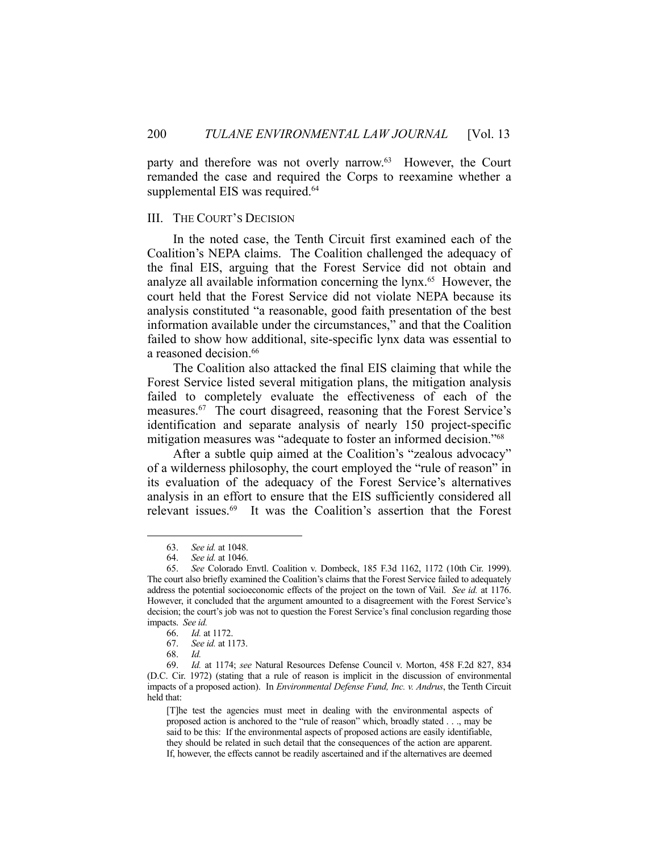party and therefore was not overly narrow.<sup>63</sup> However, the Court remanded the case and required the Corps to reexamine whether a supplemental EIS was required.<sup>64</sup>

## III. THE COURT'S DECISION

 In the noted case, the Tenth Circuit first examined each of the Coalition's NEPA claims. The Coalition challenged the adequacy of the final EIS, arguing that the Forest Service did not obtain and analyze all available information concerning the lynx.<sup>65</sup> However, the court held that the Forest Service did not violate NEPA because its analysis constituted "a reasonable, good faith presentation of the best information available under the circumstances," and that the Coalition failed to show how additional, site-specific lynx data was essential to a reasoned decision.<sup>66</sup>

 The Coalition also attacked the final EIS claiming that while the Forest Service listed several mitigation plans, the mitigation analysis failed to completely evaluate the effectiveness of each of the measures.67 The court disagreed, reasoning that the Forest Service's identification and separate analysis of nearly 150 project-specific mitigation measures was "adequate to foster an informed decision."68

 After a subtle quip aimed at the Coalition's "zealous advocacy" of a wilderness philosophy, the court employed the "rule of reason" in its evaluation of the adequacy of the Forest Service's alternatives analysis in an effort to ensure that the EIS sufficiently considered all relevant issues.69 It was the Coalition's assertion that the Forest

1

[T]he test the agencies must meet in dealing with the environmental aspects of proposed action is anchored to the "rule of reason" which, broadly stated . . ., may be said to be this: If the environmental aspects of proposed actions are easily identifiable, they should be related in such detail that the consequences of the action are apparent. If, however, the effects cannot be readily ascertained and if the alternatives are deemed

 <sup>63.</sup> *See id.* at 1048.

 <sup>64.</sup> *See id.* at 1046.

 <sup>65.</sup> *See* Colorado Envtl. Coalition v. Dombeck, 185 F.3d 1162, 1172 (10th Cir. 1999). The court also briefly examined the Coalition's claims that the Forest Service failed to adequately address the potential socioeconomic effects of the project on the town of Vail. *See id.* at 1176. However, it concluded that the argument amounted to a disagreement with the Forest Service's decision; the court's job was not to question the Forest Service's final conclusion regarding those impacts. *See id.*

 <sup>66.</sup> *Id.* at 1172.

 <sup>67.</sup> *See id.* at 1173.

 <sup>68.</sup> *Id.*

 <sup>69.</sup> *Id.* at 1174; *see* Natural Resources Defense Council v. Morton, 458 F.2d 827, 834 (D.C. Cir. 1972) (stating that a rule of reason is implicit in the discussion of environmental impacts of a proposed action). In *Environmental Defense Fund, Inc. v. Andrus*, the Tenth Circuit held that: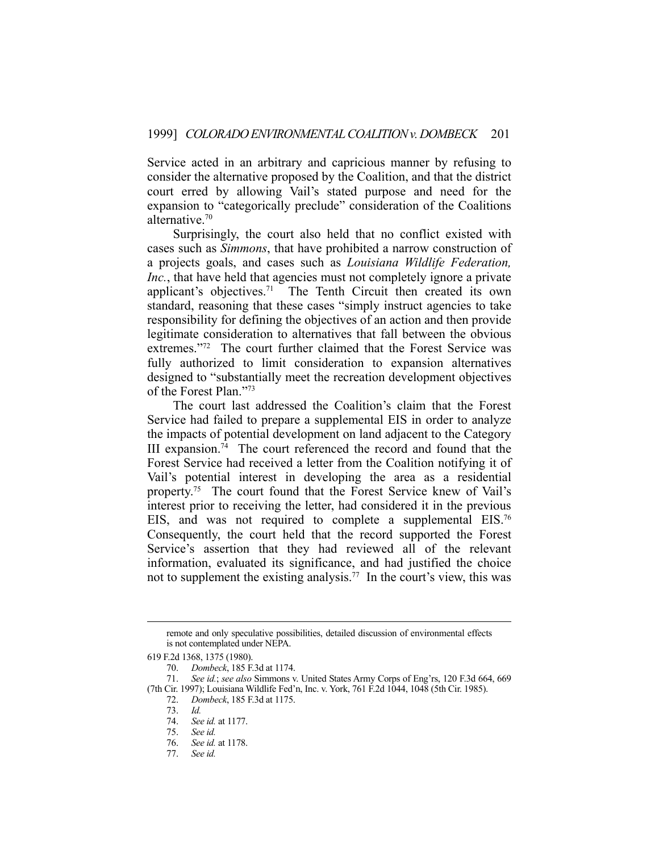Service acted in an arbitrary and capricious manner by refusing to consider the alternative proposed by the Coalition, and that the district court erred by allowing Vail's stated purpose and need for the expansion to "categorically preclude" consideration of the Coalitions alternative.70

 Surprisingly, the court also held that no conflict existed with cases such as *Simmons*, that have prohibited a narrow construction of a projects goals, and cases such as *Louisiana Wildlife Federation, Inc.*, that have held that agencies must not completely ignore a private applicant's objectives.<sup>71</sup> The Tenth Circuit then created its own standard, reasoning that these cases "simply instruct agencies to take responsibility for defining the objectives of an action and then provide legitimate consideration to alternatives that fall between the obvious extremes."72 The court further claimed that the Forest Service was fully authorized to limit consideration to expansion alternatives designed to "substantially meet the recreation development objectives of the Forest Plan."73

 The court last addressed the Coalition's claim that the Forest Service had failed to prepare a supplemental EIS in order to analyze the impacts of potential development on land adjacent to the Category III expansion.<sup>74</sup> The court referenced the record and found that the Forest Service had received a letter from the Coalition notifying it of Vail's potential interest in developing the area as a residential property.75 The court found that the Forest Service knew of Vail's interest prior to receiving the letter, had considered it in the previous EIS, and was not required to complete a supplemental EIS.76 Consequently, the court held that the record supported the Forest Service's assertion that they had reviewed all of the relevant information, evaluated its significance, and had justified the choice not to supplement the existing analysis.<sup>77</sup> In the court's view, this was

remote and only speculative possibilities, detailed discussion of environmental effects is not contemplated under NEPA.

<sup>619</sup> F.2d 1368, 1375 (1980).

 <sup>70.</sup> *Dombeck*, 185 F.3d at 1174.

 <sup>71.</sup> *See id.*; *see also* Simmons v. United States Army Corps of Eng'rs, 120 F.3d 664, 669 (7th Cir. 1997); Louisiana Wildlife Fed'n, Inc. v. York, 761 F.2d 1044, 1048 (5th Cir. 1985).

 <sup>72.</sup> *Dombeck*, 185 F.3d at 1175.

 <sup>73.</sup> *Id.*

 <sup>74.</sup> *See id.* at 1177.

 <sup>75.</sup> *See id.*

 <sup>76.</sup> *See id.* at 1178.

 <sup>77.</sup> *See id.*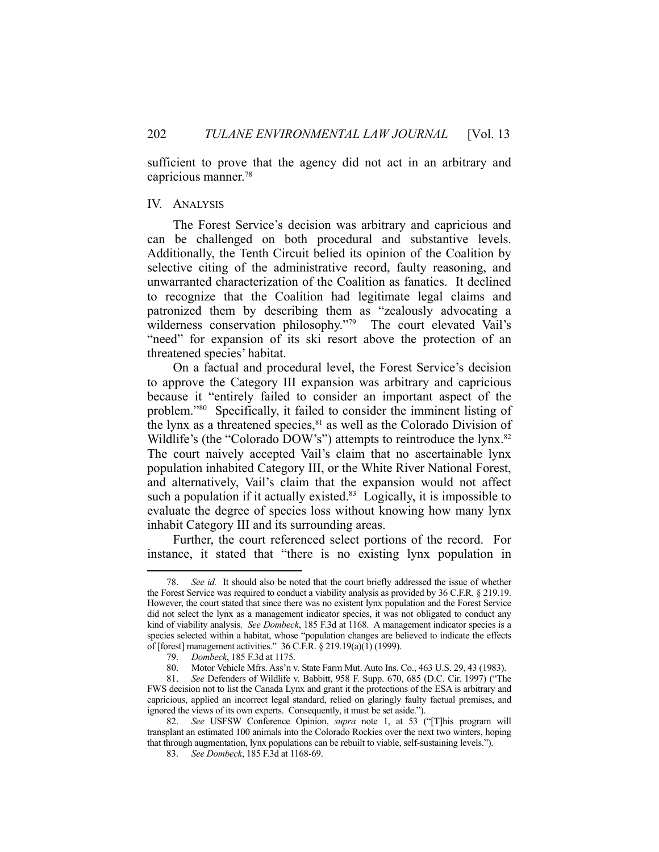sufficient to prove that the agency did not act in an arbitrary and capricious manner.78

#### IV. ANALYSIS

 The Forest Service's decision was arbitrary and capricious and can be challenged on both procedural and substantive levels. Additionally, the Tenth Circuit belied its opinion of the Coalition by selective citing of the administrative record, faulty reasoning, and unwarranted characterization of the Coalition as fanatics. It declined to recognize that the Coalition had legitimate legal claims and patronized them by describing them as "zealously advocating a wilderness conservation philosophy."79 The court elevated Vail's "need" for expansion of its ski resort above the protection of an threatened species' habitat.

 On a factual and procedural level, the Forest Service's decision to approve the Category III expansion was arbitrary and capricious because it "entirely failed to consider an important aspect of the problem."80 Specifically, it failed to consider the imminent listing of the lynx as a threatened species,<sup>81</sup> as well as the Colorado Division of Wildlife's (the "Colorado DOW's") attempts to reintroduce the lynx.<sup>82</sup> The court naively accepted Vail's claim that no ascertainable lynx population inhabited Category III, or the White River National Forest, and alternatively, Vail's claim that the expansion would not affect such a population if it actually existed. $83$  Logically, it is impossible to evaluate the degree of species loss without knowing how many lynx inhabit Category III and its surrounding areas.

 Further, the court referenced select portions of the record. For instance, it stated that "there is no existing lynx population in

 <sup>78.</sup> *See id.* It should also be noted that the court briefly addressed the issue of whether the Forest Service was required to conduct a viability analysis as provided by 36 C.F.R. § 219.19. However, the court stated that since there was no existent lynx population and the Forest Service did not select the lynx as a management indicator species, it was not obligated to conduct any kind of viability analysis. *See Dombeck*, 185 F.3d at 1168. A management indicator species is a species selected within a habitat, whose "population changes are believed to indicate the effects of [forest] management activities." 36 C.F.R. § 219.19(a)(1) (1999).

 <sup>79.</sup> *Dombeck*, 185 F.3d at 1175.

 <sup>80.</sup> Motor Vehicle Mfrs. Ass'n v. State Farm Mut. Auto Ins. Co., 463 U.S. 29, 43 (1983).

 <sup>81.</sup> *See* Defenders of Wildlife v. Babbitt, 958 F. Supp. 670, 685 (D.C. Cir. 1997) ("The FWS decision not to list the Canada Lynx and grant it the protections of the ESA is arbitrary and capricious, applied an incorrect legal standard, relied on glaringly faulty factual premises, and ignored the views of its own experts. Consequently, it must be set aside.").

 <sup>82.</sup> *See* USFSW Conference Opinion, *supra* note 1, at 53 ("[T]his program will transplant an estimated 100 animals into the Colorado Rockies over the next two winters, hoping that through augmentation, lynx populations can be rebuilt to viable, self-sustaining levels.").

 <sup>83.</sup> *See Dombeck*, 185 F.3d at 1168-69.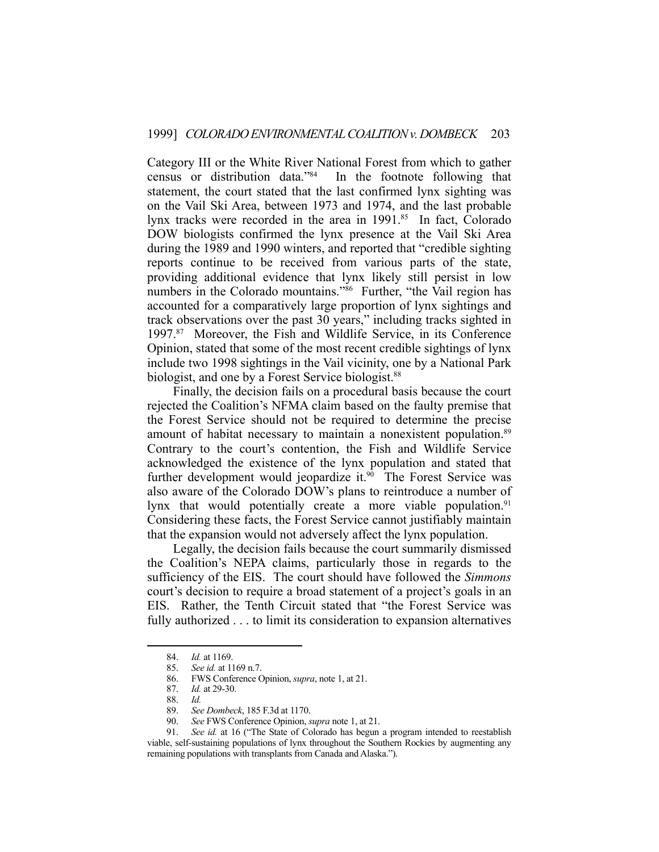Category III or the White River National Forest from which to gather census or distribution data."84 In the footnote following that statement, the court stated that the last confirmed lynx sighting was on the Vail Ski Area, between 1973 and 1974, and the last probable lynx tracks were recorded in the area in 1991.<sup>85</sup> In fact, Colorado DOW biologists confirmed the lynx presence at the Vail Ski Area during the 1989 and 1990 winters, and reported that "credible sighting reports continue to be received from various parts of the state, providing additional evidence that lynx likely still persist in low numbers in the Colorado mountains."<sup>86</sup> Further, "the Vail region has accounted for a comparatively large proportion of lynx sightings and track observations over the past 30 years," including tracks sighted in 1997.87 Moreover, the Fish and Wildlife Service, in its Conference Opinion, stated that some of the most recent credible sightings of lynx include two 1998 sightings in the Vail vicinity, one by a National Park biologist, and one by a Forest Service biologist.<sup>88</sup>

 Finally, the decision fails on a procedural basis because the court rejected the Coalition's NFMA claim based on the faulty premise that the Forest Service should not be required to determine the precise amount of habitat necessary to maintain a nonexistent population.<sup>89</sup> Contrary to the court's contention, the Fish and Wildlife Service acknowledged the existence of the lynx population and stated that further development would jeopardize it.<sup>90</sup> The Forest Service was also aware of the Colorado DOW's plans to reintroduce a number of lynx that would potentially create a more viable population.<sup>91</sup> Considering these facts, the Forest Service cannot justifiably maintain that the expansion would not adversely affect the lynx population.

 Legally, the decision fails because the court summarily dismissed the Coalition's NEPA claims, particularly those in regards to the sufficiency of the EIS. The court should have followed the *Simmons* court's decision to require a broad statement of a project's goals in an EIS. Rather, the Tenth Circuit stated that "the Forest Service was fully authorized . . . to limit its consideration to expansion alternatives

 <sup>84.</sup> *Id.* at 1169.

 <sup>85.</sup> *See id.* at 1169 n.7.

 <sup>86.</sup> FWS Conference Opinion, *supra*, note 1, at 21.

 <sup>87.</sup> *Id.* at 29-30.

 <sup>88.</sup> *Id.* 89. *See Dombeck*, 185 F.3d at 1170.

 <sup>90.</sup> *See* FWS Conference Opinion, *supra* note 1, at 21. See id. at 16 ("The State of Colorado has begun a program intended to reestablish viable, self-sustaining populations of lynx throughout the Southern Rockies by augmenting any remaining populations with transplants from Canada and Alaska.").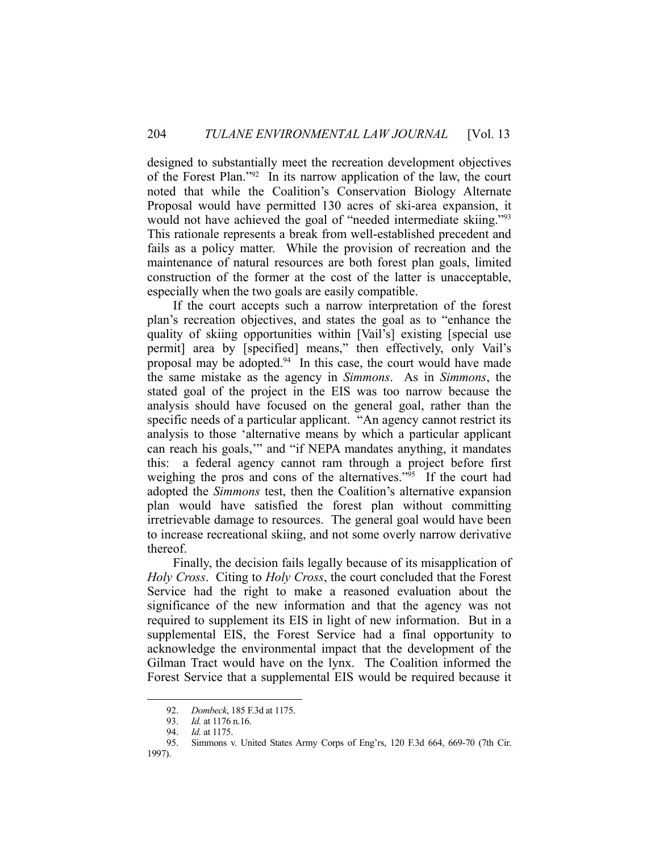designed to substantially meet the recreation development objectives of the Forest Plan."92 In its narrow application of the law, the court noted that while the Coalition's Conservation Biology Alternate Proposal would have permitted 130 acres of ski-area expansion, it would not have achieved the goal of "needed intermediate skiing."<sup>93</sup> This rationale represents a break from well-established precedent and fails as a policy matter. While the provision of recreation and the maintenance of natural resources are both forest plan goals, limited construction of the former at the cost of the latter is unacceptable, especially when the two goals are easily compatible.

 If the court accepts such a narrow interpretation of the forest plan's recreation objectives, and states the goal as to "enhance the quality of skiing opportunities within [Vail's] existing [special use permit] area by [specified] means," then effectively, only Vail's proposal may be adopted.<sup>94</sup> In this case, the court would have made the same mistake as the agency in *Simmons*. As in *Simmons*, the stated goal of the project in the EIS was too narrow because the analysis should have focused on the general goal, rather than the specific needs of a particular applicant. "An agency cannot restrict its analysis to those 'alternative means by which a particular applicant can reach his goals,'" and "if NEPA mandates anything, it mandates this: a federal agency cannot ram through a project before first weighing the pros and cons of the alternatives."95 If the court had adopted the *Simmons* test, then the Coalition's alternative expansion plan would have satisfied the forest plan without committing irretrievable damage to resources. The general goal would have been to increase recreational skiing, and not some overly narrow derivative thereof.

 Finally, the decision fails legally because of its misapplication of *Holy Cross*. Citing to *Holy Cross*, the court concluded that the Forest Service had the right to make a reasoned evaluation about the significance of the new information and that the agency was not required to supplement its EIS in light of new information. But in a supplemental EIS, the Forest Service had a final opportunity to acknowledge the environmental impact that the development of the Gilman Tract would have on the lynx. The Coalition informed the Forest Service that a supplemental EIS would be required because it

 <sup>92.</sup> *Dombeck*, 185 F.3d at 1175.

 <sup>93.</sup> *Id.* at 1176 n.16.

 <sup>94.</sup> *Id.* at 1175.

 <sup>95.</sup> Simmons v. United States Army Corps of Eng'rs, 120 F.3d 664, 669-70 (7th Cir. 1997).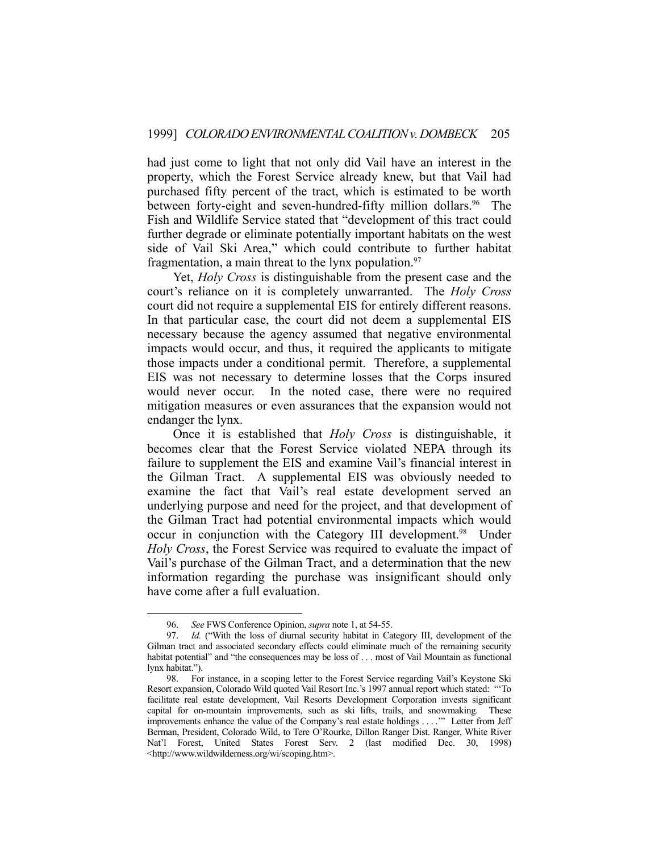had just come to light that not only did Vail have an interest in the property, which the Forest Service already knew, but that Vail had purchased fifty percent of the tract, which is estimated to be worth between forty-eight and seven-hundred-fifty million dollars.<sup>96</sup> The Fish and Wildlife Service stated that "development of this tract could further degrade or eliminate potentially important habitats on the west side of Vail Ski Area," which could contribute to further habitat fragmentation, a main threat to the lynx population. $97$ 

 Yet, *Holy Cross* is distinguishable from the present case and the court's reliance on it is completely unwarranted. The *Holy Cross* court did not require a supplemental EIS for entirely different reasons. In that particular case, the court did not deem a supplemental EIS necessary because the agency assumed that negative environmental impacts would occur, and thus, it required the applicants to mitigate those impacts under a conditional permit. Therefore, a supplemental EIS was not necessary to determine losses that the Corps insured would never occur. In the noted case, there were no required mitigation measures or even assurances that the expansion would not endanger the lynx.

 Once it is established that *Holy Cross* is distinguishable, it becomes clear that the Forest Service violated NEPA through its failure to supplement the EIS and examine Vail's financial interest in the Gilman Tract. A supplemental EIS was obviously needed to examine the fact that Vail's real estate development served an underlying purpose and need for the project, and that development of the Gilman Tract had potential environmental impacts which would occur in conjunction with the Category III development.<sup>98</sup> Under *Holy Cross*, the Forest Service was required to evaluate the impact of Vail's purchase of the Gilman Tract, and a determination that the new information regarding the purchase was insignificant should only have come after a full evaluation.

<u>.</u>

 <sup>96.</sup> *See* FWS Conference Opinion, *supra* note 1, at 54-55.

 <sup>97.</sup> *Id.* ("With the loss of diurnal security habitat in Category III, development of the Gilman tract and associated secondary effects could eliminate much of the remaining security habitat potential" and "the consequences may be loss of . . . most of Vail Mountain as functional lynx habitat.").

 <sup>98.</sup> For instance, in a scoping letter to the Forest Service regarding Vail's Keystone Ski Resort expansion, Colorado Wild quoted Vail Resort Inc.'s 1997 annual report which stated: "'To facilitate real estate development, Vail Resorts Development Corporation invests significant capital for on-mountain improvements, such as ski lifts, trails, and snowmaking. These improvements enhance the value of the Company's real estate holdings . . . .'" Letter from Jeff Berman, President, Colorado Wild, to Tere O'Rourke, Dillon Ranger Dist. Ranger, White River Nat'l Forest, United States Forest Serv. 2 (last modified Dec. 30, 1998) <http://www.wildwilderness.org/wi/scoping.htm>.